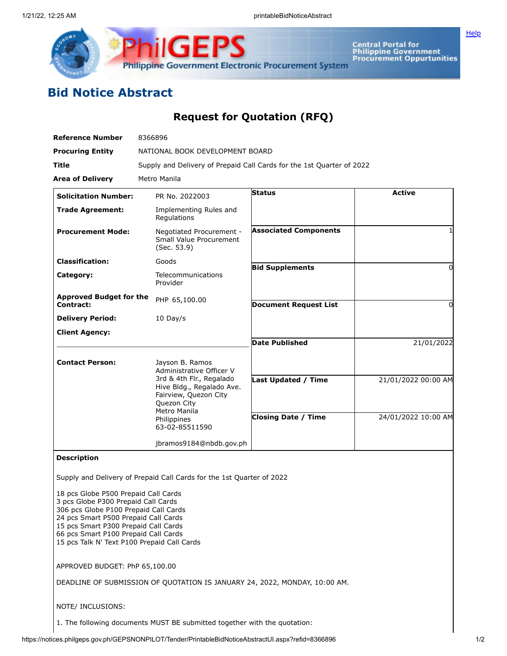

Central Portal for<br>Philippine Government<br>Procurement Oppurtunities

**[Help](javascript:void(window.open()** 

## **Bid Notice Abstract**

## **Request for Quotation (RFQ)**

| <b>Reference Number</b>                     | 8366896                                                                                                                                                                                       |                              |                     |
|---------------------------------------------|-----------------------------------------------------------------------------------------------------------------------------------------------------------------------------------------------|------------------------------|---------------------|
| <b>Procuring Entity</b>                     | NATIONAL BOOK DEVELOPMENT BOARD                                                                                                                                                               |                              |                     |
| Title                                       | Supply and Delivery of Prepaid Call Cards for the 1st Quarter of 2022                                                                                                                         |                              |                     |
| <b>Area of Delivery</b>                     | Metro Manila                                                                                                                                                                                  |                              |                     |
| <b>Solicitation Number:</b>                 | PR No. 2022003                                                                                                                                                                                | <b>Status</b>                | <b>Active</b>       |
| <b>Trade Agreement:</b>                     | Implementing Rules and<br>Regulations                                                                                                                                                         |                              |                     |
| <b>Procurement Mode:</b>                    | Negotiated Procurement -<br>Small Value Procurement<br>(Sec. 53.9)                                                                                                                            | <b>Associated Components</b> |                     |
| <b>Classification:</b>                      | Goods                                                                                                                                                                                         | <b>Bid Supplements</b>       | 0                   |
| Category:                                   | Telecommunications<br>Provider                                                                                                                                                                |                              |                     |
| <b>Approved Budget for the</b><br>Contract: | PHP 65,100.00                                                                                                                                                                                 | <b>Document Request List</b> | O                   |
| <b>Delivery Period:</b>                     | 10 Day/s                                                                                                                                                                                      |                              |                     |
| <b>Client Agency:</b>                       |                                                                                                                                                                                               |                              |                     |
|                                             |                                                                                                                                                                                               | <b>Date Published</b>        | 21/01/2022          |
| <b>Contact Person:</b>                      | Jayson B. Ramos<br>Administrative Officer V<br>3rd & 4th Flr., Regalado<br>Hive Bldg., Regalado Ave.<br>Fairview, Quezon City<br>Quezon City<br>Metro Manila<br>Philippines<br>63-02-85511590 |                              |                     |
|                                             |                                                                                                                                                                                               | <b>Last Updated / Time</b>   | 21/01/2022 00:00 AM |
|                                             |                                                                                                                                                                                               | <b>Closing Date / Time</b>   | 24/01/2022 10:00 AM |
|                                             | jbramos9184@nbdb.gov.ph                                                                                                                                                                       |                              |                     |
| <b>Description</b>                          |                                                                                                                                                                                               |                              |                     |

Supply and Delivery of Prepaid Call Cards for the 1st Quarter of 2022

 pcs Globe P500 Prepaid Call Cards pcs Globe P300 Prepaid Call Cards pcs Globe P100 Prepaid Call Cards pcs Smart P500 Prepaid Call Cards pcs Smart P300 Prepaid Call Cards pcs Smart P100 Prepaid Call Cards pcs Talk N' Text P100 Prepaid Call Cards

APPROVED BUDGET: PhP 65,100.00

DEADLINE OF SUBMISSION OF QUOTATION IS JANUARY 24, 2022, MONDAY, 10:00 AM.

## NOTE/ INCLUSIONS:

1. The following documents MUST BE submitted together with the quotation: